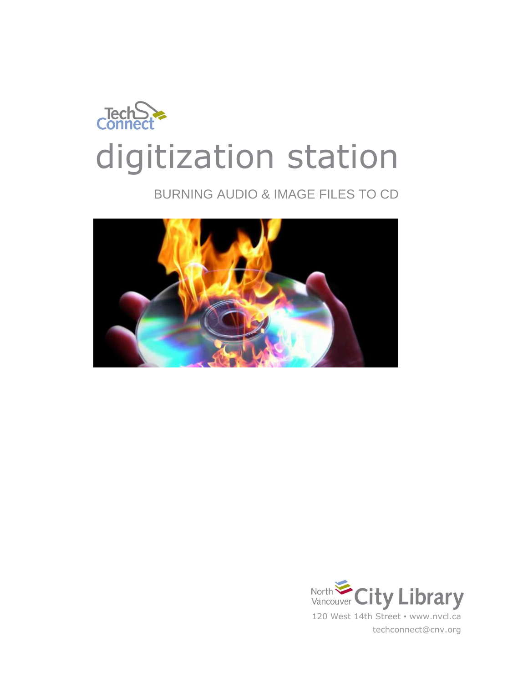

## BURNING AUDIO & IMAGE FILES TO CD



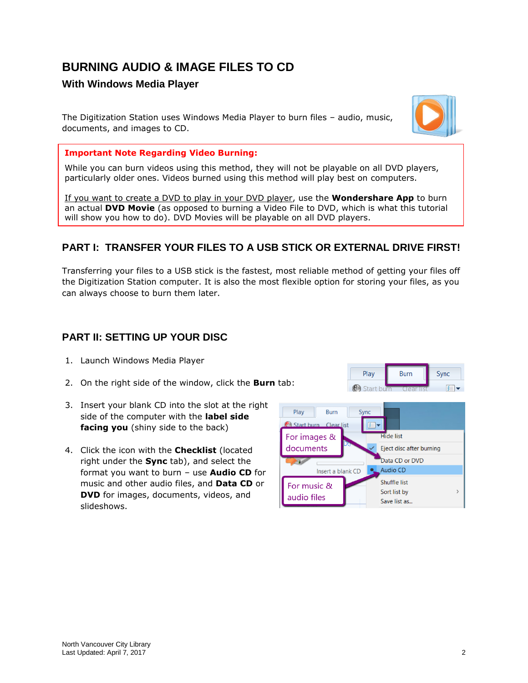# **BURNING AUDIO & IMAGE FILES TO CD**

#### **With Windows Media Player**

The Digitization Station uses Windows Media Player to burn files – audio, music, documents, and images to CD.



#### **Important Note Regarding Video Burning:**

While you can burn videos using this method, they will not be playable on all DVD players, particularly older ones. Videos burned using this method will play best on computers.

If you want to create a DVD to play in your DVD player, use the **Wondershare App** to burn an actual **DVD Movie** (as opposed to burning a Video File to DVD, which is what this tutorial will show you how to do). DVD Movies will be playable on all DVD players.

### **PART I: TRANSFER YOUR FILES TO A USB STICK OR EXTERNAL DRIVE FIRST!**

Transferring your files to a USB stick is the fastest, most reliable method of getting your files off the Digitization Station computer. It is also the most flexible option for storing your files, as you can always choose to burn them later.

#### **PART II: SETTING UP YOUR DISC**

- 1. Launch Windows Media Player
- 2. On the right side of the window, click the **Burn** tab:
- 3. Insert your blank CD into the slot at the right side of the computer with the **label side facing you** (shiny side to the back)
- 4. Click the icon with the **Checklist** (located right under the **Sync** tab), and select the format you want to burn – use **Audio CD** for music and other audio files, and **Data CD** or **DVD** for images, documents, videos, and slideshows.

| Play       | <b>Burn</b>      | Sync |  |
|------------|------------------|------|--|
| Start burn | lear list.<br>т. |      |  |
|            |                  |      |  |

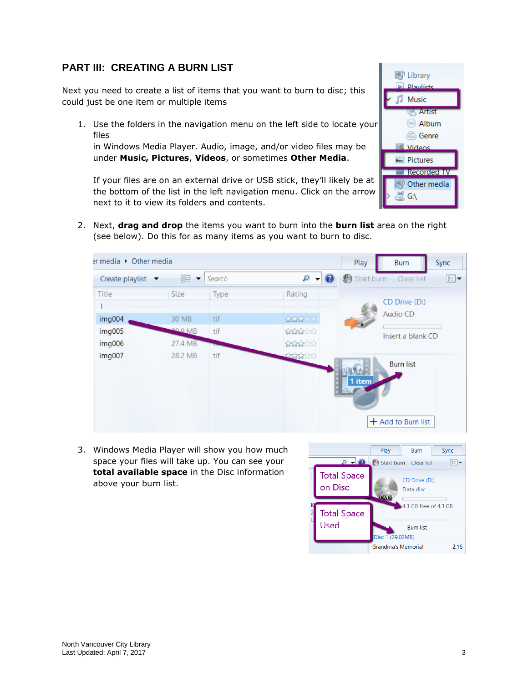### **PART III: CREATING A BURN LIST**

Next you need to create a list of items that you want to burn to disc; this could just be one item or multiple items

1. Use the folders in the navigation menu on the left side to locate your files

in Windows Media Player. Audio, image, and/or video files may be under **Music, Pictures**, **Videos**, or sometimes **Other Media**.

**D Playlists Music** Artist Album **Genre** Videos  $\blacksquare$  Pictures **Recorded TV** Other media  $\downarrow$  G:\

D Library

If your files are on an external drive or USB stick, they'll likely be at the bottom of the list in the left navigation menu. Click on the arrow next to it to view its folders and contents.

2. Next, **drag and drop** the items you want to burn into the **burn list** area on the right (see below). Do this for as many items as you want to burn to disc.



3. Windows Media Player will show you how much space your files will take up. You can see your **total available space** in the Disc information above your burn list.